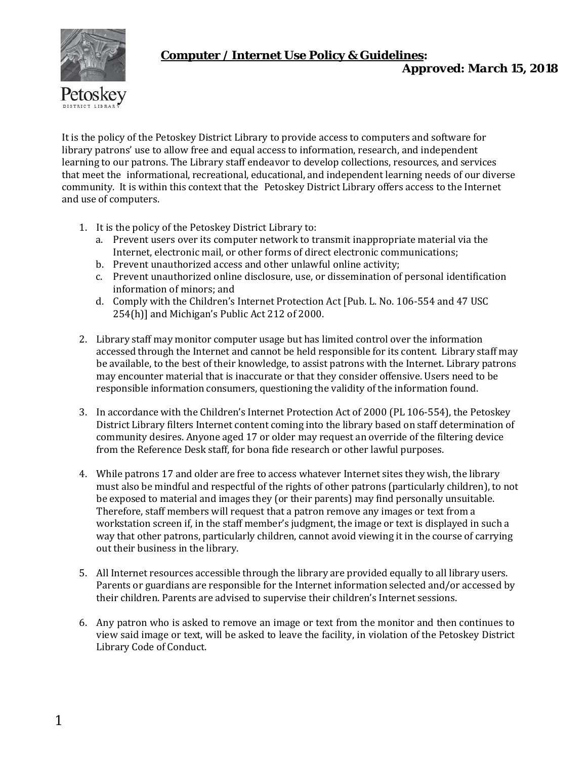

# **Computer / Internet Use Policy & Guidelines***:*

*Approved: March 15, 2018*

It is the policy of the Petoskey District Library to provide access to computers and software for library patrons' use to allow free and equal access to information, research, and independent learning to our patrons. The Library staff endeavor to develop collections, resources, and services that meet the informational, recreational, educational, and independent learning needs of our diverse community. It is within this context that the Petoskey District Library offers access to the Internet and use of computers.

- 1. It is the policy of the Petoskey District Library to:
	- a. Prevent users over its computer network to transmit inappropriate material via the Internet, electronic mail, or other forms of direct electronic communications;
	- b. Prevent unauthorized access and other unlawful online activity;
	- c. Prevent unauthorized online disclosure, use, or dissemination of personal identification information of minors; and
	- d. Comply with the Children's Internet Protection Act [Pub. L. No. 106-554 and 47 USC 254(h)] and Michigan's Public Act 212 of 2000.
- 2. Library staff may monitor computer usage but has limited control over the information accessed through the Internet and cannot be held responsible for its content. Library staff may be available, to the best of their knowledge, to assist patrons with the Internet. Library patrons may encounter material that is inaccurate or that they consider offensive. Users need to be responsible information consumers, questioning the validity of the information found.
- 3. In accordance with the Children's Internet Protection Act of 2000 (PL 106-554), the Petoskey District Library filters Internet content coming into the library based on staff determination of community desires. Anyone aged 17 or older may request an override of the filtering device from the Reference Desk staff, for bona fide research or other lawful purposes.
- 4. While patrons 17 and older are free to access whatever Internet sites they wish, the library must also be mindful and respectful of the rights of other patrons (particularly children), to not be exposed to material and images they (or their parents) may find personally unsuitable. Therefore, staff members will request that a patron remove any images or text from a workstation screen if, in the staff member's judgment, the image or text is displayed in such a way that other patrons, particularly children, cannot avoid viewing it in the course of carrying out their business in the library.
- 5. All Internet resources accessible through the library are provided equally to all library users. Parents or guardians are responsible for the Internet information selected and/or accessed by their children. Parents are advised to supervise their children's Internet sessions.
- 6. Any patron who is asked to remove an image or text from the monitor and then continues to view said image or text, will be asked to leave the facility, in violation of the Petoskey District Library Code of Conduct.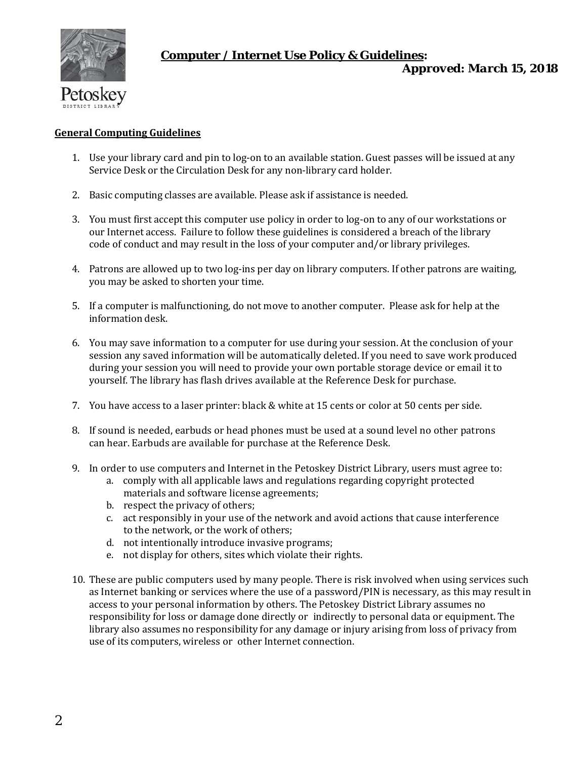

### **Computer / Internet Use Policy & Guidelines***:*

*Approved: March 15, 2018*

#### **General Computing Guidelines**

- 1. Use your library card and pin to log-on to an available station. Guest passes will be issued at any Service Desk or the Circulation Desk for any non-library card holder.
- 2. Basic computing classes are available. Please ask if assistance is needed.
- 3. You must first accept this computer use policy in order to log-on to any of our workstations or our Internet access. Failure to follow these guidelines is considered a breach of the library code of conduct and may result in the loss of your computer and/or library privileges.
- 4. Patrons are allowed up to two log-ins per day on library computers. If other patrons are waiting, you may be asked to shorten your time.
- 5. If a computer is malfunctioning, do not move to another computer. Please ask for help at the information desk.
- 6. You may save information to a computer for use during your session. At the conclusion of your session any saved information will be automatically deleted. If you need to save work produced during your session you will need to provide your own portable storage device or email it to yourself. The library has flash drives available at the Reference Desk for purchase.
- 7. You have access to a laser printer: black & white at 15 cents or color at 50 cents per side.
- 8. If sound is needed, earbuds or head phones must be used at a sound level no other patrons can hear. Earbuds are available for purchase at the Reference Desk.
- 9. In order to use computers and Internet in the Petoskey District Library, users must agree to:
	- a. comply with all applicable laws and regulations regarding copyright protected materials and software license agreements;
	- b. respect the privacy of others;
	- c. act responsibly in your use of the network and avoid actions that cause interference to the network, or the work of others;
	- d. not intentionally introduce invasive programs;
	- e. not display for others, sites which violate their rights.
- 10. These are public computers used by many people. There is risk involved when using services such as Internet banking or services where the use of a password/PIN is necessary, as this may result in access to your personal information by others. The Petoskey District Library assumes no responsibility for loss or damage done directly or indirectly to personal data or equipment. The library also assumes no responsibility for any damage or injury arising from loss of privacy from use of its computers, wireless or other Internet connection.